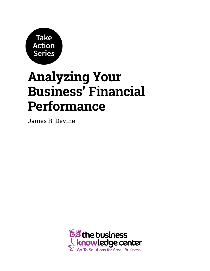

# **Analyzing Your Business' Financial Performance**

James R. Devine

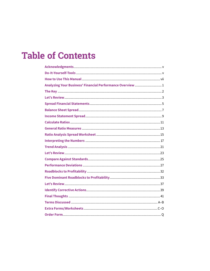## **Table of Contents**

| Analyzing Your Business' Financial Performance Overview  1 |  |
|------------------------------------------------------------|--|
|                                                            |  |
|                                                            |  |
|                                                            |  |
|                                                            |  |
|                                                            |  |
|                                                            |  |
|                                                            |  |
|                                                            |  |
|                                                            |  |
|                                                            |  |
|                                                            |  |
|                                                            |  |
|                                                            |  |
|                                                            |  |
|                                                            |  |
|                                                            |  |
|                                                            |  |
|                                                            |  |
|                                                            |  |
|                                                            |  |
|                                                            |  |
|                                                            |  |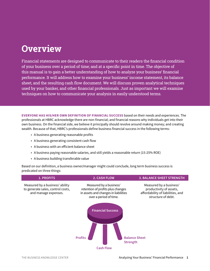### **Overview**

Financial statements are designed to communicate to their readers the financial condition of your business over a period of time; and at a specific point in time. The objective of this manual is to gain a better understanding of how to analyze your business' financial performance. It will address how to examine your business' income statement, its balance sheet, and the resulting cash flow document. We will discuss proven analytical techniques used by your banker, and other financial professionals. Just as important we will examine techniques on how to communicate your analysis in easily understood terms.

**EVERYONE HAS HIS/HER OWN DEFINITION OF FINANCIAL SUCCESS** based on their needs and experiences. The professionals at HBRC acknowledge there are non-financial; and financial reasons why individuals get into their own business. On the financial side, we believe it principally should revolve around making money; and creating wealth. Because of that, HBRC's professionals define business financial success in the following terms:

- A business generating reasonable profits
- A business generating consistent cash flow
- A business with an efficient balance sheet
- A business paying reasonable salaries, and still yields a reasonable return (15-25% ROE)
- A business building transferable value

Based on our definition, a business owner/manager might could conclude, long term business success is predicated on three things:

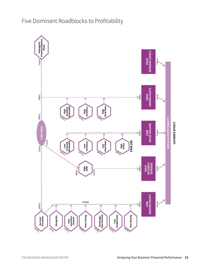

#### Five Dominant Roadblocks to Profitability